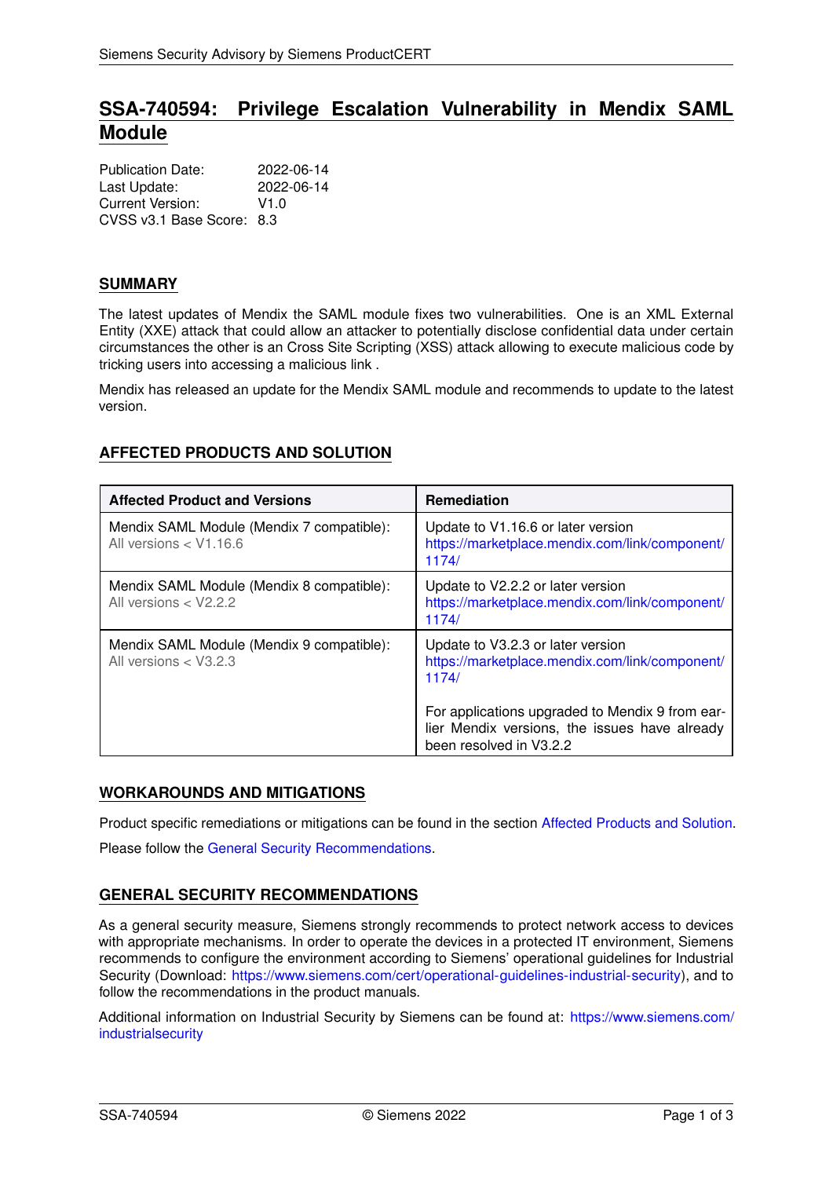# **SSA-740594: Privilege Escalation Vulnerability in Mendix SAML Module**

| <b>Publication Date:</b>  | 2022-06-14 |
|---------------------------|------------|
| Last Update:              | 2022-06-14 |
| Current Version:          | V1.0       |
| CVSS v3.1 Base Score: 8.3 |            |

#### **SUMMARY**

The latest updates of Mendix the SAML module fixes two vulnerabilities. One is an XML External Entity (XXE) attack that could allow an attacker to potentially disclose confidential data under certain circumstances the other is an Cross Site Scripting (XSS) attack allowing to execute malicious code by tricking users into accessing a malicious link .

<span id="page-0-0"></span>Mendix has released an update for the Mendix SAML module and recommends to update to the latest version.

| <b>Affected Product and Versions</b>                                  | <b>Remediation</b>                                                                                                          |
|-----------------------------------------------------------------------|-----------------------------------------------------------------------------------------------------------------------------|
| Mendix SAML Module (Mendix 7 compatible):<br>All versions $<$ V1.16.6 | Update to V1.16.6 or later version<br>https://marketplace.mendix.com/link/component/<br>1174/                               |
| Mendix SAML Module (Mendix 8 compatible):<br>All versions $<$ V2.2.2  | Update to V2.2.2 or later version<br>https://marketplace.mendix.com/link/component/<br>1174/                                |
| Mendix SAML Module (Mendix 9 compatible):<br>All versions $<$ V3.2.3  | Update to V3.2.3 or later version<br>https://marketplace.mendix.com/link/component/<br>1174/                                |
|                                                                       | For applications upgraded to Mendix 9 from ear-<br>lier Mendix versions, the issues have already<br>been resolved in V3.2.2 |

## **AFFECTED PRODUCTS AND SOLUTION**

## **WORKAROUNDS AND MITIGATIONS**

Product specific remediations or mitigations can be found in the section [Affected Products and Solution.](#page-0-0) Please follow the [General Security Recommendations.](#page-0-1)

## <span id="page-0-1"></span>**GENERAL SECURITY RECOMMENDATIONS**

As a general security measure, Siemens strongly recommends to protect network access to devices with appropriate mechanisms. In order to operate the devices in a protected IT environment, Siemens recommends to configure the environment according to Siemens' operational guidelines for Industrial Security (Download: [https://www.siemens.com/cert/operational-guidelines-industrial-security\)](https://www.siemens.com/cert/operational-guidelines-industrial-security), and to follow the recommendations in the product manuals.

Additional information on Industrial Security by Siemens can be found at: [https://www.siemens.com/](https://www.siemens.com/industrialsecurity) [industrialsecurity](https://www.siemens.com/industrialsecurity)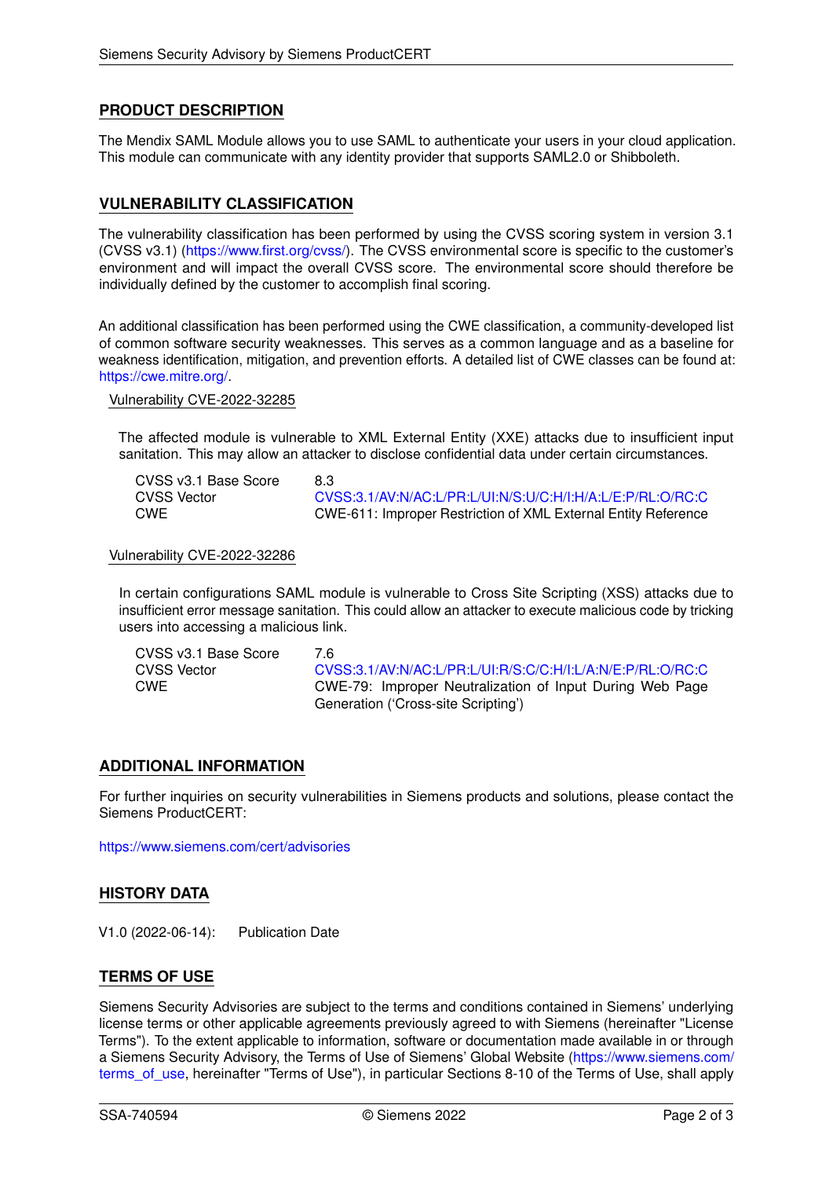## **PRODUCT DESCRIPTION**

The Mendix SAML Module allows you to use SAML to authenticate your users in your cloud application. This module can communicate with any identity provider that supports SAML2.0 or Shibboleth.

### **VULNERABILITY CLASSIFICATION**

The vulnerability classification has been performed by using the CVSS scoring system in version 3.1 (CVSS v3.1) [\(https://www.first.org/cvss/\)](https://www.first.org/cvss/). The CVSS environmental score is specific to the customer's environment and will impact the overall CVSS score. The environmental score should therefore be individually defined by the customer to accomplish final scoring.

An additional classification has been performed using the CWE classification, a community-developed list of common software security weaknesses. This serves as a common language and as a baseline for weakness identification, mitigation, and prevention efforts. A detailed list of CWE classes can be found at: [https://cwe.mitre.org/.](https://cwe.mitre.org/)

Vulnerability CVE-2022-32285

The affected module is vulnerable to XML External Entity (XXE) attacks due to insufficient input sanitation. This may allow an attacker to disclose confidential data under certain circumstances.

| CVSS v3.1 Base Score | 8.3                                                                   |
|----------------------|-----------------------------------------------------------------------|
| CVSS Vector          | CVSS:3.1/AV:N/AC:L/PR:L/UI:N/S:U/C:H/I:H/A:L/E:P/RL:O/RC:C            |
| CWE                  | <b>CWE-611: Improper Restriction of XML External Entity Reference</b> |

Vulnerability CVE-2022-32286

In certain configurations SAML module is vulnerable to Cross Site Scripting (XSS) attacks due to insufficient error message sanitation. This could allow an attacker to execute malicious code by tricking users into accessing a malicious link.

| CVSS v3.1 Base Score | 7 R                                                        |
|----------------------|------------------------------------------------------------|
| CVSS Vector          | CVSS:3.1/AV:N/AC:L/PR:L/UI:R/S:C/C:H/I:L/A:N/E:P/RL:O/RC:C |
| <b>CWE</b>           | CWE-79: Improper Neutralization of Input During Web Page   |
|                      | Generation ('Cross-site Scripting')                        |

#### **ADDITIONAL INFORMATION**

For further inquiries on security vulnerabilities in Siemens products and solutions, please contact the Siemens ProductCERT:

<https://www.siemens.com/cert/advisories>

#### **HISTORY DATA**

V1.0 (2022-06-14): Publication Date

#### **TERMS OF USE**

Siemens Security Advisories are subject to the terms and conditions contained in Siemens' underlying license terms or other applicable agreements previously agreed to with Siemens (hereinafter "License Terms"). To the extent applicable to information, software or documentation made available in or through a Siemens Security Advisory, the Terms of Use of Siemens' Global Website [\(https://www.siemens.com/](https://www.siemens.com/terms_of_use) terms of use, hereinafter "Terms of Use"), in particular Sections 8-10 of the Terms of Use, shall apply